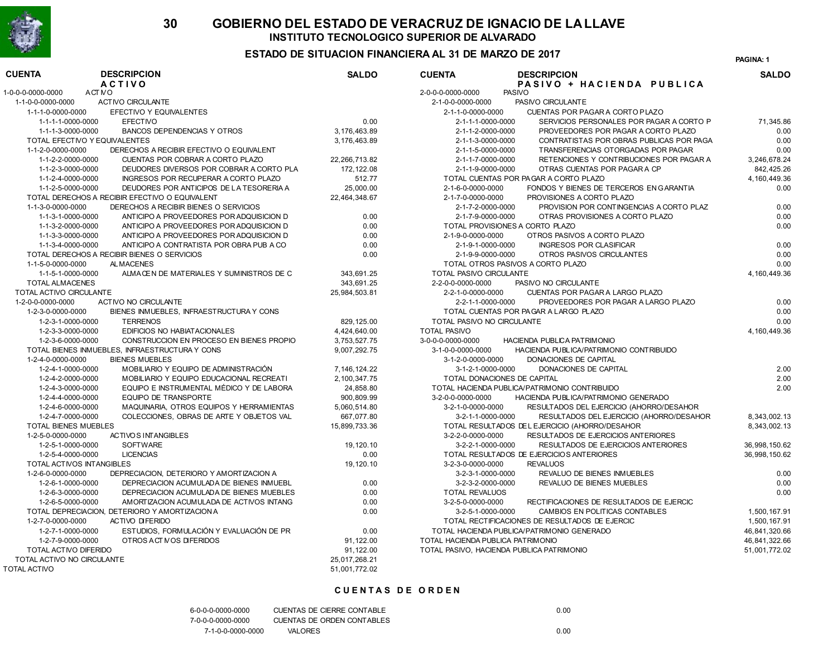

#### ESTADO DE SITUACION FINANCIERA AL 31 DE MARZO DE 2017 <sup>1</sup>

PAGINA: 1

| <b>CUENTA</b>                      | <b>DESCRIPCION</b><br><b>ACTIVO</b>            | <b>SALDO</b>    | <b>CUENTA</b><br><b>DESCRIPCION</b><br>PASIVO + HACIENDA PUBLICA | <b>SALDO</b>    |
|------------------------------------|------------------------------------------------|-----------------|------------------------------------------------------------------|-----------------|
| 1-0-0-0-0000-0000<br><b>ACT NO</b> |                                                |                 | 2-0-0-0-0000-0000<br><b>PASIVO</b>                               |                 |
| 1-1-0-0-0000-0000                  | ACTIVO CIRCULANTE                              |                 | 2-1-0-0-0000-0000<br>PASIVO CIRCULANTE                           |                 |
| 1-1-1-0-0000-0000                  | EFECTIVO Y EQUIVALENTES                        |                 | 2-1-1-0-0000-0000<br>CUENTAS POR PAGARA CORTO PLAZO              |                 |
| 1-1-1-1-0000-0000                  | <b>EFECTIVO</b>                                | 0.00            | 2-1-1-1-0000-0000<br>SERVICIOS PERSONALES POR PAGAR A CORTO P    | 71,345.86       |
| 1-1-1-3-0000-0000                  | <b>BANCOS DEPENDENCIAS Y OTROS</b>             | 3,176,463.89    | PROVEEDORES POR PAGAR A CORTO PLAZO<br>2-1-1-2-0000-0000         | 0.00            |
| TOTAL EFECTIVO Y EQUIVALENTES      |                                                | 3.176.463.89    | CONTRATISTAS POR OBRAS PUBLICAS POR PAGA<br>2-1-1-3-0000-0000    | 0.00            |
| 1-1-2-0-0000-0000                  | DERECHOS A RECIBIR EFECTIVO O EQUIVALENT       |                 | 2-1-1-5-0000-0000<br>TRANSFERENCIAS OTORGADAS POR PAGAR          | 0.00            |
| 1-1-2-2-0000-0000                  | CUENTAS POR COBRAR A CORTO PLAZO               | 22.266.713.82   | RETENCIONES Y CONTRIBUCIONES POR PAGAR A<br>2-1-1-7-0000-0000    | 3.246.678.24    |
| 1-1-2-3-0000-0000                  | DEUDORES DIVERSOS POR COBRAR A CORTO PLA       | 172, 122.08     | 2-1-1-9-0000-0000<br>OTRAS CUENTAS POR PAGAR A CP                | 842,425.26      |
| 1-1-2-4-0000-0000                  | INGRESOS POR RECUPERAR A CORTO PLAZO           | 512.77          | TOTAL CUENTAS POR PAGAR A CORTO PLAZO                            | 4, 160, 449. 36 |
| 1-1-2-5-0000-0000                  | DEUDORES POR ANTICIPOS DE LA TESORERIA A       | 25,000.00       | 2-1-6-0-0000-0000<br>FONDOS Y BIENES DE TERCEROS EN GARANTIA     | 0.00            |
|                                    | TOTAL DERECHOS A RECIBIR EFECTIVO O EQUIVALENT | 22,464,348.67   | 2-1-7-0-0000-0000<br>PROVISIONES A CORTO PLAZO                   |                 |
| 1-1-3-0-0000-0000                  | DERECHOS A RECIBIR BIENES O SERVICIOS          |                 | 2-1-7-2-0000-0000<br>PROVISION POR CONTINGENCIAS A CORTO PLAZ    | 0.00            |
| 1-1-3-1-0000-0000                  | ANTICIPO A PROVEEDORES POR ADQUISICION D       | 0.00            | 2-1-7-9-0000-0000<br>OTRAS PROVISIONES A CORTO PLAZO             | 0.00            |
| 1-1-3-2-0000-0000                  | ANTICIPO A PROVEEDORES POR ADQUISICION D       | 0.00            | TOTAL PROVISIONES A CORTO PLAZO                                  | 0.00            |
| 1-1-3-3-0000-0000                  | ANTICIPO A PROVEEDORES POR ADQUISICION D       | 0.00            | 2-1-9-0-0000-0000<br>OTROS PASIVOS A CORTO PLAZO                 |                 |
| 1-1-3-4-0000-0000                  | ANTICIPO A CONTRATISTA POR OBRA PUB A CO       | 0.00            | <b>INGRESOS POR CLASIFICAR</b><br>2-1-9-1-0000-0000              | 0.00            |
|                                    | TOTAL DERECHOS A RECIBIR BIENES O SERVICIOS    | 0.00            | 2-1-9-9-0000-0000<br>OTROS PASIVOS CIRCULANTES                   | 0.00            |
| 1-1-5-0-0000-0000                  | <b>ALMACENES</b>                               |                 | TOTAL OTROS PASIVOS A CORTO PLAZO                                | 0.00            |
| 1-1-5-1-0000-0000                  | ALMACEN DE MATERIALES Y SUMINISTROS DE C       | 343,691.25      | <b>TOTAL PASIVO CIRCULANTE</b>                                   | 4, 160, 449. 36 |
| <b>TOTAL ALMACENES</b>             |                                                | 343,691.25      | 2-2-0-0-0000-0000<br>PASIVO NO CIRCULANTE                        |                 |
| TOTAL ACTIVO CIRCULANTE            |                                                | 25,984,503.81   | 2-2-1-0-0000-0000<br><b>CUENTAS POR PAGARA LARGO PLAZO</b>       |                 |
| 1-2-0-0-0000-0000                  | ACTIVO NO CIRCULANTE                           |                 | 2-2-1-1-0000-0000<br>PROVEEDORES POR PAGAR A LARGO PLAZO         | 0.00            |
| 1-2-3-0-0000-0000                  | BIENES INMUEBLES, INFRAESTRUCTURA Y CONS       |                 | TOTAL CUENTAS POR PAGAR A LARGO PLAZO                            | 0.00            |
| 1-2-3-1-0000-0000                  | <b>TERRENOS</b>                                | 829, 125.00     | TOTAL PASIVO NO CIRCULANTE                                       | 0.00            |
| 1-2-3-3-0000-0000                  | EDIFICIOS NO HABIATACIONALES                   | 4,424,640.00    | <b>TOTAL PASIVO</b>                                              | 4, 160, 449. 36 |
| 1-2-3-6-0000-0000                  | CONSTRUCCION EN PROCESO EN BIENES PROPIO       | 3,753,527.75    | 3-0-0-0-0000-0000<br>HACIENDA PUBLICA PATRIMONIO                 |                 |
|                                    | TOTAL BIENES INMUEBLES, INFRAESTRUCTURA Y CONS | 9,007,292.75    | 3-1-0-0-0000-0000<br>HACIENDA PUBLICA/PATRIMONIO CONTRIBUIDO     |                 |
| 1-2-4-0-0000-0000                  | <b>BIENES MUEBLES</b>                          |                 | 3-1-2-0-0000-0000<br>DONACIONES DE CAPITAL                       |                 |
| 1-2-4-1-0000-0000                  | MOBILIARIO Y EQUIPO DE ADMINISTRACIÓN          | 7, 146, 124. 22 | 3-1-2-1-0000-0000<br>DONACIONES DE CAPITAL                       | 2.00            |
| 1-2-4-2-0000-0000                  | MOBILIARIO Y EQUIPO EDUCACIONAL RECREATI       | 2,100,347.75    | TOTAL DONACIONES DE CAPITAL                                      | 2.00            |
| 1-2-4-3-0000-0000                  | EQUIPO E INSTRUMENTAL MÉDICO Y DE LABORA       | 24,858.80       | TOTAL HACIENDA PUBLICA/PATRIMONIO CONTRIBUIDO                    | 2.00            |
| 1-2-4-4-0000-0000                  | <b>EQUIPO DE TRANSPORTE</b>                    | 900,809.99      | HACIENDA PUBLICA/PATRIMONIO GENERADO<br>3-2-0-0-0000-0000        |                 |
| 1-2-4-6-0000-0000                  | MAQUINARIA, OTROS EQUIPOS Y HERRAMIENTAS       | 5,060,514.80    | RESULTADOS DEL EJERCICIO (AHORRO/DESAHOR<br>3-2-1-0-0000-0000    |                 |
| 1-2-4-7-0000-0000                  | COLECCIONES. OBRAS DE ARTE Y OBJETOS VAL       | 667.077.80      | RESULTADOS DEL EJERCICIO (AHORRO/DESAHOR<br>3-2-1-1-0000-0000    | 8.343.002.13    |
| TOTAL BIENES MUEBLES               |                                                | 15,899,733.36   | TOTAL RESULTADOS DEL EJERCICIO (AHORRO/DESAHOR                   | 8,343,002.13    |
| 1-2-5-0-0000-0000                  | <b>ACTIVOS INTANGIBLES</b>                     |                 | 3-2-2-0-0000-0000<br>RESULTADOS DE EJERCICIOS ANTERIORES         |                 |
| 1-2-5-1-0000-0000                  | <b>SOFTWARE</b>                                | 19, 120.10      | 3-2-2-1-0000-0000<br>RESULTADOS DE EJERCICIOS ANTERIORES         | 36,998,150.62   |
| 1-2-5-4-0000-0000                  | <b>LICENCIAS</b>                               | 0.00            | TOTAL RESULTADOS DE EJERCICIOS ANTERIORES                        | 36,998,150.62   |
| TOTAL ACTIVOS INTANGIBLES          |                                                | 19, 120.10      | 3-2-3-0-0000-0000<br><b>REVALUOS</b>                             |                 |
| 1-2-6-0-0000-0000                  | DEPRECIACION. DETERIORO Y AMORTIZACION A       |                 | 3-2-3-1-0000-0000<br><b>REVALUO DE BIENES INMUEBLES</b>          | 0.00            |
| 1-2-6-1-0000-0000                  | DEPRECIACION ACUMULADA DE BIENES INMUEBL       | 0.00            | REVALUO DE BIENES MUEBLES<br>3-2-3-2-0000-0000                   | 0.00            |
| 1-2-6-3-0000-0000                  | DEPRECIACION ACUMULADA DE BIENES MUEBLES       | 0.00            | <b>TOTAL REVALUOS</b>                                            | 0.00            |
| 1-2-6-5-0000-0000                  | AMORTIZACION ACUMULADA DE ACTIVOS INTANG       | 0.00            | 3-2-5-0-0000-0000<br>RECTIFICACIONES DE RESULTADOS DE EJERCIC    |                 |
|                                    | TOTAL DEPRECIACION, DETERIORO Y AMORTIZACION A | 0.00            | 3-2-5-1-0000-0000<br>CAMBIOS EN POLITICAS CONTABLES              | 1,500,167.91    |
| 1-2-7-0-0000-0000                  | <b>ACTIVO DIFERIDO</b>                         |                 | TOTAL RECTIFICACIONES DE RESULTADOS DE EJERCIC                   | 1,500,167.91    |
| 1-2-7-1-0000-0000                  | ESTUDIOS, FORMULACIÓN Y EVALUACIÓN DE PR       | 0.00            | TOTAL HACIENDA PUBLICA/PATRIMONIO GENERADO                       | 46,841,320.66   |
| 1-2-7-9-0000-0000                  | OTROS ACT MOS DIFERIDOS                        | 91,122.00       | TOTAL HACIENDA PUBLICA PATRIMONIO                                | 46,841,322.66   |
| TOTAL ACTIVO DIFERIDO              |                                                | 91,122.00       | TOTAL PASIVO, HACIENDA PUBLICA PATRIMONIO                        | 51,001,772.02   |
| TOTAL ACTIVO NO CIRCULANTE         |                                                | 25,017,268.21   |                                                                  |                 |
| <b>TOTAL ACTIVO</b>                |                                                | 51,001,772.02   |                                                                  |                 |

#### **CUENTAS DE ORDEN**

| 6-0-0-0-0000-0000 | CUENTAS DE CIERRE CONTABLE | 0.00 |
|-------------------|----------------------------|------|
| 7-0-0-0-0000-0000 | CUENTAS DE ORDEN CONTABLES |      |
| 7-1-0-0-0000-0000 | <b>VALORES</b>             | 0.00 |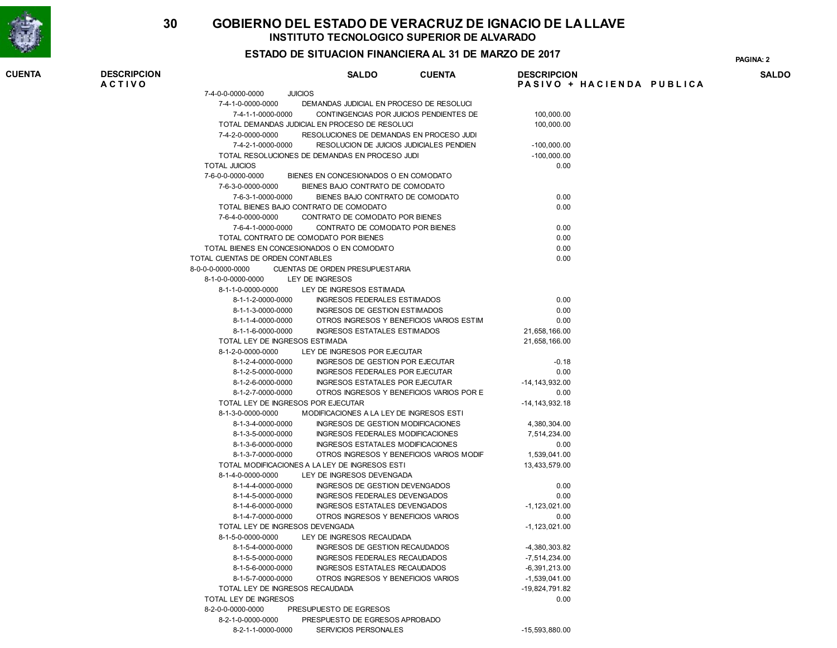

### ESTADO DE SITUACION FINANCIERA AL 31 DE MARZO DE 2017 <sup>2</sup>

PAGINA:

| <b>CUENTA</b> | <b>DESCRIPCION</b><br><b>ACTIVO</b> |                                        | <b>SALDO</b>                                                    | <b>CUENTA</b> | <b>DESCRIPCION</b> | PASIVO + HACIENDA PUBLICA | SALDO |
|---------------|-------------------------------------|----------------------------------------|-----------------------------------------------------------------|---------------|--------------------|---------------------------|-------|
|               |                                     | 7-4-0-0-0000-0000                      | <b>JUICIOS</b>                                                  |               |                    |                           |       |
|               |                                     | 7-4-1-0-0000-0000                      | DEMANDAS JUDICIAL EN PROCESO DE RESOLUCI                        |               |                    |                           |       |
|               |                                     | 7-4-1-1-0000-0000                      | CONTINGENCIAS POR JUICIOS PENDIENTES DE                         |               | 100,000.00         |                           |       |
|               |                                     |                                        | TOTAL DEMANDAS JUDICIAL EN PROCESO DE RESOLUCI                  |               | 100,000.00         |                           |       |
|               |                                     | 7-4-2-0-0000-0000                      | RESOLUCIONES DE DEMANDAS EN PROCESO JUDI                        |               |                    |                           |       |
|               |                                     | 7-4-2-1-0000-0000                      | RESOLUCION DE JUICIOS JUDICIALES PENDIEN                        |               | $-100,000.00$      |                           |       |
|               |                                     |                                        | TOTAL RESOLUCIONES DE DEMANDAS EN PROCESO JUDI                  |               | $-100,000.00$      |                           |       |
|               |                                     | <b>TOTAL JUICIOS</b>                   |                                                                 |               | 0.00               |                           |       |
|               |                                     | 7-6-0-0-0000-0000                      | BIENES EN CONCESIONADOS O EN COMODATO                           |               |                    |                           |       |
|               |                                     | 7-6-3-0-0000-0000                      | BIENES BAJO CONTRATO DE COMODATO                                |               |                    |                           |       |
|               |                                     | 7-6-3-1-0000-0000                      | BIENES BAJO CONTRATO DE COMODATO                                |               | 0.00               |                           |       |
|               |                                     |                                        | TOTAL BIENES BAJO CONTRATO DE COMODATO                          |               | 0.00               |                           |       |
|               |                                     | 7-6-4-0-0000-0000                      | CONTRATO DE COMODATO POR BIENES                                 |               |                    |                           |       |
|               |                                     | 7-6-4-1-0000-0000                      | CONTRATO DE COMODATO POR BIENES                                 |               | 0.00               |                           |       |
|               |                                     |                                        | TOTAL CONTRATO DE COMODATO POR BIENES                           |               | 0.00               |                           |       |
|               |                                     |                                        | TOTAL BIENES EN CONCESIONADOS O EN COMODATO                     |               | 0.00               |                           |       |
|               |                                     | TOTAL CUENTAS DE ORDEN CONTABLES       |                                                                 |               | 0.00               |                           |       |
|               |                                     | 8-0-0-0-0000-0000                      | CUENTAS DE ORDEN PRESUPUESTARIA                                 |               |                    |                           |       |
|               |                                     | 8-1-0-0-0000-0000                      | LEY DE INGRESOS                                                 |               |                    |                           |       |
|               |                                     | 8-1-1-0-0000-0000                      | LEY DE INGRESOS ESTIMADA                                        |               |                    |                           |       |
|               |                                     | 8-1-1-2-0000-0000                      | INGRESOS FEDERALES ESTIMADOS                                    |               | 0.00               |                           |       |
|               |                                     | 8-1-1-3-0000-0000                      | INGRESOS DE GESTION ESTIMADOS                                   |               | 0.00               |                           |       |
|               |                                     | 8-1-1-4-0000-0000                      | OTROS INGRESOS Y BENEFICIOS VARIOS ESTIM                        |               | 0.00               |                           |       |
|               |                                     | 8-1-1-6-0000-0000                      | INGRESOS ESTATALES ESTIMADOS                                    |               | 21,658,166.00      |                           |       |
|               |                                     | TOTAL LEY DE INGRESOS ESTIMADA         |                                                                 |               | 21.658.166.00      |                           |       |
|               |                                     | 8-1-2-0-0000-0000                      | LEY DE INGRESOS POR EJECUTAR                                    |               |                    |                           |       |
|               |                                     | 8-1-2-4-0000-0000                      | INGRESOS DE GESTION POR EJECUTAR                                |               | $-0.18$            |                           |       |
|               |                                     | 8-1-2-5-0000-0000                      | INGRESOS FEDERALES POR EJECUTAR                                 |               | 0.00               |                           |       |
|               |                                     | 8-1-2-6-0000-0000                      | INGRESOS ESTATALES POR EJECUTAR                                 |               | $-14, 143, 932.00$ |                           |       |
|               |                                     | 8-1-2-7-0000-0000                      | OTROS INGRESOS Y BENEFICIOS VARIOS POR E                        |               | 0.00               |                           |       |
|               |                                     | TOTAL LEY DE INGRESOS POR EJECUTAR     |                                                                 |               | $-14, 143, 932.18$ |                           |       |
|               |                                     | 8-1-3-0-0000-0000                      | MODIFICACIONES A LA LEY DE INGRESOS ESTI                        |               |                    |                           |       |
|               |                                     | 8-1-3-4-0000-0000                      | INGRESOS DE GESTION MODIFICACIONES                              |               | 4,380,304.00       |                           |       |
|               |                                     | 8-1-3-5-0000-0000                      | INGRESOS FEDERALES MODIFICACIONES                               |               | 7,514,234.00       |                           |       |
|               |                                     | 8-1-3-6-0000-0000                      | INGRESOS ESTATALES MODIFICACIONES                               |               | 0.00               |                           |       |
|               |                                     | 8-1-3-7-0000-0000                      | OTROS INGRESOS Y BENEFICIOS VARIOS MODIF                        |               | 1,539,041.00       |                           |       |
|               |                                     |                                        | TOTAL MODIFICACIONES A LA LEY DE INGRESOS ESTI                  |               | 13,433,579.00      |                           |       |
|               |                                     | 8-1-4-0-0000-0000                      | LEY DE INGRESOS DEVENGADA                                       |               |                    |                           |       |
|               |                                     | 8-1-4-4-0000-0000                      | INGRESOS DE GESTION DEVENGADOS                                  |               | 0.00               |                           |       |
|               |                                     | 8-1-4-5-0000-0000                      | INGRESOS FEDERALES DEVENGADOS                                   |               | 0.00               |                           |       |
|               |                                     | 8-1-4-6-0000-0000                      | INGRESOS ESTATALES DEVENGADOS                                   |               | $-1, 123, 021.00$  |                           |       |
|               |                                     | 8-1-4-7-0000-0000                      | OTROS INGRESOS Y BENEFICIOS VARIOS                              |               | 0.00               |                           |       |
|               |                                     | TOTAL LEY DE INGRESOS DEVENGADA        |                                                                 |               | $-1, 123, 021.00$  |                           |       |
|               |                                     | 8-1-5-0-0000-0000                      | LEY DE INGRESOS RECAUDADA                                       |               |                    |                           |       |
|               |                                     |                                        |                                                                 |               | -4,380,303.82      |                           |       |
|               |                                     | 8-1-5-4-0000-0000<br>8-1-5-5-0000-0000 | INGRESOS DE GESTION RECAUDADOS<br>INGRESOS FEDERALES RECAUDADOS |               | -7,514,234.00      |                           |       |
|               |                                     | 8-1-5-6-0000-0000                      | INGRESOS ESTATALES RECAUDADOS                                   |               | -6,391,213.00      |                           |       |
|               |                                     | 8-1-5-7-0000-0000                      | OTROS INGRESOS Y BENEFICIOS VARIOS                              |               | $-1,539,041.00$    |                           |       |
|               |                                     | TOTAL LEY DE INGRESOS RECAUDADA        |                                                                 |               | -19,824,791.82     |                           |       |
|               |                                     | TOTAL LEY DE INGRESOS                  |                                                                 |               | 0.00               |                           |       |
|               |                                     | 8-2-0-0-0000-0000                      | PRESUPUESTO DE EGRESOS                                          |               |                    |                           |       |
|               |                                     | 8-2-1-0-0000-0000                      | PRESPUESTO DE EGRESOS APROBADO                                  |               |                    |                           |       |
|               |                                     | 8-2-1-1-0000-0000                      | SERVICIOS PERSONALES                                            |               | $-15,593,880.00$   |                           |       |
|               |                                     |                                        |                                                                 |               |                    |                           |       |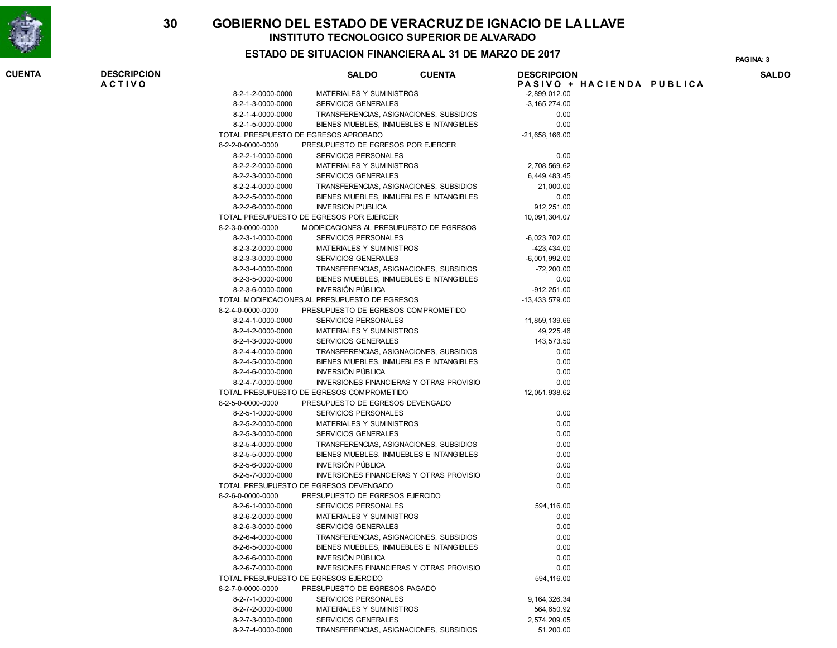

### ESTADO DE SITUACION FINANCIERA AL 31 DE MARZO DE 2017

PAGINA: 3

| <b>CUENTA</b> | <b>DESCRIPCION</b><br><b>ACTIVO</b> |                   | <b>SALDO</b><br><b>CUENTA</b>                                 | <b>DESCRIPCION</b> | PASIVO + HACIENDA PUBLICA | <b>SALDO</b> |
|---------------|-------------------------------------|-------------------|---------------------------------------------------------------|--------------------|---------------------------|--------------|
|               |                                     | 8-2-1-2-0000-0000 | <b>MATERIALES Y SUMINISTROS</b>                               | $-2,899,012.00$    |                           |              |
|               |                                     | 8-2-1-3-0000-0000 | <b>SERVICIOS GENERALES</b>                                    | $-3, 165, 274.00$  |                           |              |
|               |                                     | 8-2-1-4-0000-0000 | TRANSFERENCIAS, ASIGNACIONES, SUBSIDIOS                       | 0.00               |                           |              |
|               |                                     | 8-2-1-5-0000-0000 | BIENES MUEBLES, INMUEBLES E INTANGIBLES                       | 0.00               |                           |              |
|               |                                     |                   | TOTAL PRESPUESTO DE EGRESOS APROBADO                          | $-21,658,166.00$   |                           |              |
|               |                                     | 8-2-2-0-0000-0000 | PRESUPUESTO DE EGRESOS POR EJERCER                            |                    |                           |              |
|               |                                     |                   |                                                               |                    |                           |              |
|               |                                     | 8-2-2-1-0000-0000 | <b>SERVICIOS PERSONALES</b>                                   | 0.00               |                           |              |
|               |                                     | 8-2-2-2-0000-0000 | <b>MATERIALES Y SUMINISTROS</b><br><b>SERVICIOS GENERALES</b> | 2,708,569.62       |                           |              |
|               |                                     | 8-2-2-3-0000-0000 |                                                               | 6,449,483.45       |                           |              |
|               |                                     | 8-2-2-4-0000-0000 | TRANSFERENCIAS, ASIGNACIONES, SUBSIDIOS                       | 21,000.00          |                           |              |
|               |                                     | 8-2-2-5-0000-0000 | BIENES MUEBLES, INMUEBLES E INTANGIBLES                       | 0.00               |                           |              |
|               |                                     | 8-2-2-6-0000-0000 | <b>INVERSION P'UBLICA</b>                                     | 912.251.00         |                           |              |
|               |                                     |                   | TOTAL PRESUPUESTO DE EGRESOS POR EJERCER                      | 10,091,304.07      |                           |              |
|               |                                     | 8-2-3-0-0000-0000 | MODIFICACIONES AL PRESUPUESTO DE EGRESOS                      |                    |                           |              |
|               |                                     | 8-2-3-1-0000-0000 | <b>SERVICIOS PERSONALES</b>                                   | $-6,023,702.00$    |                           |              |
|               |                                     | 8-2-3-2-0000-0000 | <b>MATERIALES Y SUMINISTROS</b>                               | $-423,434.00$      |                           |              |
|               |                                     | 8-2-3-3-0000-0000 | <b>SERVICIOS GENERALES</b>                                    | $-6,001,992.00$    |                           |              |
|               |                                     | 8-2-3-4-0000-0000 | TRANSFERENCIAS, ASIGNACIONES, SUBSIDIOS                       | $-72,200.00$       |                           |              |
|               |                                     | 8-2-3-5-0000-0000 | BIENES MUEBLES, INMUEBLES E INTANGIBLES                       | 0.00               |                           |              |
|               |                                     | 8-2-3-6-0000-0000 | <b>INVERSIÓN PÚBLICA</b>                                      | $-912,251.00$      |                           |              |
|               |                                     |                   | TOTAL MODIFICACIONES AL PRESUPUESTO DE EGRESOS                | -13,433,579.00     |                           |              |
|               |                                     | 8-2-4-0-0000-0000 | PRESUPUESTO DE EGRESOS COMPROMETIDO                           |                    |                           |              |
|               |                                     | 8-2-4-1-0000-0000 | <b>SERVICIOS PERSONALES</b>                                   | 11,859,139.66      |                           |              |
|               |                                     | 8-2-4-2-0000-0000 | <b>MATERIALES Y SUMINISTROS</b>                               | 49,225.46          |                           |              |
|               |                                     | 8-2-4-3-0000-0000 | SERVICIOS GENERALES                                           | 143,573.50         |                           |              |
|               |                                     | 8-2-4-4-0000-0000 | TRANSFERENCIAS, ASIGNACIONES, SUBSIDIOS                       | 0.00               |                           |              |
|               |                                     | 8-2-4-5-0000-0000 | BIENES MUEBLES, INMUEBLES E INTANGIBLES                       | 0.00               |                           |              |
|               |                                     | 8-2-4-6-0000-0000 | <b>INVERSIÓN PÚBLICA</b>                                      | 0.00               |                           |              |
|               |                                     | 8-2-4-7-0000-0000 | <b>INVERSIONES FINANCIERAS Y OTRAS PROVISIO</b>               | 0.00               |                           |              |
|               |                                     |                   | TOTAL PRESUPUESTO DE EGRESOS COMPROMETIDO                     | 12,051,938.62      |                           |              |
|               |                                     | 8-2-5-0-0000-0000 | PRESUPUESTO DE EGRESOS DEVENGADO                              |                    |                           |              |
|               |                                     | 8-2-5-1-0000-0000 | <b>SERVICIOS PERSONALES</b>                                   | 0.00               |                           |              |
|               |                                     | 8-2-5-2-0000-0000 | MATERIALES Y SUMINISTROS                                      | 0.00               |                           |              |
|               |                                     | 8-2-5-3-0000-0000 | SERVICIOS GENERALES                                           | 0.00               |                           |              |
|               |                                     | 8-2-5-4-0000-0000 | TRANSFERENCIAS, ASIGNACIONES, SUBSIDIOS                       | 0.00               |                           |              |
|               |                                     | 8-2-5-5-0000-0000 | BIENES MUEBLES, INMUEBLES E INTANGIBLES                       | 0.00               |                           |              |
|               |                                     | 8-2-5-6-0000-0000 | <b>INVERSIÓN PÚBLICA</b>                                      | 0.00               |                           |              |
|               |                                     | 8-2-5-7-0000-0000 | <b>INVERSIONES FINANCIERAS Y OTRAS PROVISIO</b>               | 0.00               |                           |              |
|               |                                     |                   | TOTAL PRESUPUESTO DE EGRESOS DEVENGADO                        | 0.00               |                           |              |
|               |                                     | 8-2-6-0-0000-0000 | PRESUPUESTO DE EGRESOS EJERCIDO                               |                    |                           |              |
|               |                                     | 8-2-6-1-0000-0000 | <b>SERVICIOS PERSONALES</b>                                   | 594,116.00         |                           |              |
|               |                                     | 8-2-6-2-0000-0000 | MATERIALES Y SUMINISTROS                                      | 0.00               |                           |              |
|               |                                     | 8-2-6-3-0000-0000 | <b>SERVICIOS GENERALES</b>                                    | 0.00               |                           |              |
|               |                                     | 8-2-6-4-0000-0000 | TRANSFERENCIAS, ASIGNACIONES, SUBSIDIOS                       | 0.00               |                           |              |
|               |                                     | 8-2-6-5-0000-0000 | BIENES MUEBLES, INMUEBLES E INTANGIBLES                       | 0.00               |                           |              |
|               |                                     | 8-2-6-6-0000-0000 | INVERSIÓN PÚBLICA                                             | 0.00               |                           |              |
|               |                                     | 8-2-6-7-0000-0000 | <b>INVERSIONES FINANCIERAS Y OTRAS PROVISIO</b>               | 0.00               |                           |              |
|               |                                     |                   | TOTAL PRESUPUESTO DE EGRESOS EJERCIDO                         | 594,116.00         |                           |              |
|               |                                     | 8-2-7-0-0000-0000 | PRESUPUESTO DE EGRESOS PAGADO                                 |                    |                           |              |
|               |                                     | 8-2-7-1-0000-0000 | SERVICIOS PERSONALES                                          | 9, 164, 326. 34    |                           |              |
|               |                                     | 8-2-7-2-0000-0000 | <b>MATERIALES Y SUMINISTROS</b>                               | 564,650.92         |                           |              |
|               |                                     | 8-2-7-3-0000-0000 | SERVICIOS GENERALES                                           | 2,574,209.05       |                           |              |
|               |                                     | 8-2-7-4-0000-0000 | TRANSFERENCIAS, ASIGNACIONES, SUBSIDIOS                       | 51,200.00          |                           |              |
|               |                                     |                   |                                                               |                    |                           |              |